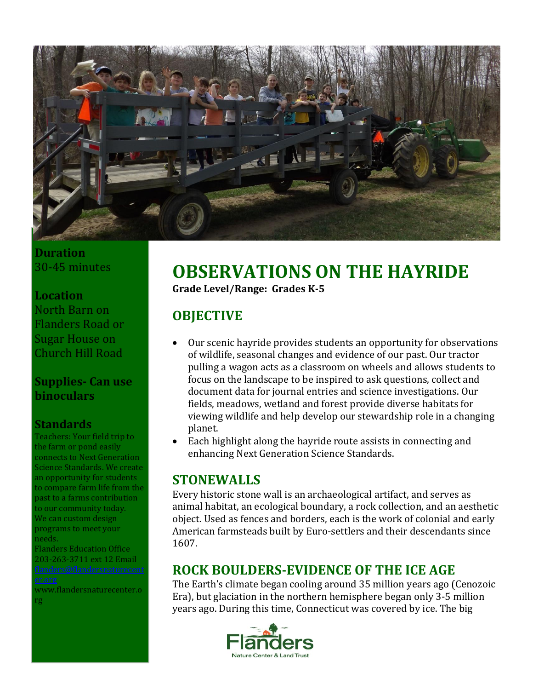

### **Duration** 30-45 minutes

#### **Location**

North Barn on Flanders Road or Sugar House on Church Hill Road

### **Supplies- Can use binoculars**

### **Standards**

Teachers: Your field trip to the farm or pond easily connects to Next Generation Science Standards. We create an opportunity for students to compare farm life from the past to a farms contribution to our community today. We can custom design programs to meet your needs. Flanders Education Office

203-263-3711 ext 12 Email www.flandersnaturecenter.o

rg

# **OBSERVATIONS ON THE HAYRIDE Grade Level/Range: Grades K-5**

# **OBJECTIVE**

- Our scenic hayride provides students an opportunity for observations of wildlife, seasonal changes and evidence of our past. Our tractor pulling a wagon acts as a classroom on wheels and allows students to focus on the landscape to be inspired to ask questions, collect and document data for journal entries and science investigations. Our fields, meadows, wetland and forest provide diverse habitats for viewing wildlife and help develop our stewardship role in a changing planet.
- Each highlight along the hayride route assists in connecting and enhancing Next Generation Science Standards.

### **STONEWALLS**

Every historic stone wall is an archaeological artifact, and serves as animal habitat, an ecological boundary, a rock collection, and an aesthetic object. Used as fences and borders, each is the work of colonial and early American farmsteads built by Euro-settlers and their descendants since 1607.

### **ROCK BOULDERS-EVIDENCE OF THE ICE AGE**

The Earth's climate began cooling around 35 million years ago (Cenozoic Era), but glaciation in the northern hemisphere began only 3-5 million years ago. During this time, Connecticut was covered by ice. The big

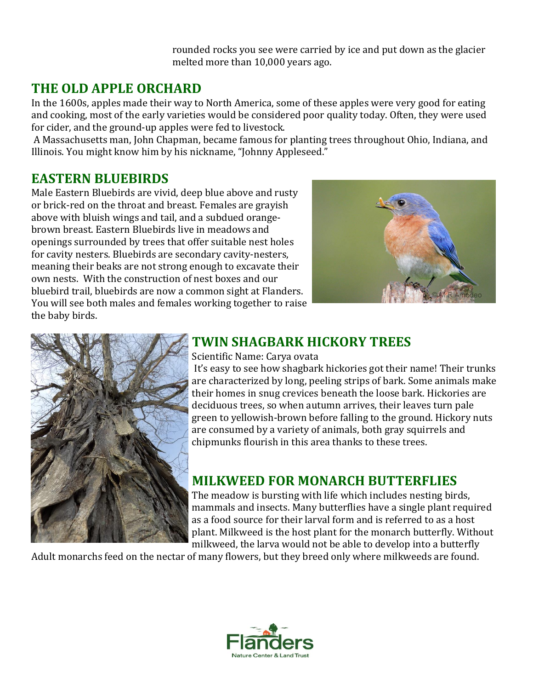rounded rocks you see were carried by ice and put down as the glacier melted more than 10,000 years ago.

### **THE OLD APPLE ORCHARD**

In the 1600s, apples made their way to North America, some of these apples were very good for eating and cooking, most of the early varieties would be considered poor quality today. Often, they were used for cider, and the ground-up apples were fed to livestock.

A Massachusetts man, John Chapman, became famous for planting trees throughout Ohio, Indiana, and Illinois. You might know him by his nickname, "Johnny Appleseed."

### **EASTERN BLUEBIRDS**

Male Eastern Bluebirds are vivid, deep blue above and rusty or brick-red on the throat and breast. Females are grayish above with bluish wings and tail, and a subdued orangebrown breast. Eastern Bluebirds live in meadows and openings surrounded by trees that offer suitable nest holes for cavity nesters. Bluebirds are secondary cavity-nesters, meaning their beaks are not strong enough to excavate their own nests. With the construction of nest boxes and our bluebird trail, bluebirds are now a common sight at Flanders. You will see both males and females working together to raise the baby birds.





# **TWIN SHAGBARK HICKORY TREES**

#### Scientific Name: Carya ovata

It's easy to see how shagbark hickories got their name! Their trunks are characterized by long, peeling strips of bark. Some animals make their homes in snug crevices beneath the loose bark. Hickories are deciduous trees, so when autumn arrives, their leaves turn pale green to yellowish-brown before falling to the ground. Hickory nuts are consumed by a variety of animals, both gray squirrels and chipmunks flourish in this area thanks to these trees.

### **MILKWEED FOR MONARCH BUTTERFLIES**

The meadow is bursting with life which includes nesting birds, mammals and insects. Many butterflies have a single plant required as a food source for their larval form and is referred to as a host plant. Milkweed is the host plant for the monarch butterfly. Without milkweed, the larva would not be able to develop into a butterfly

Adult monarchs feed on the nectar of many flowers, but they breed only where milkweeds are found.

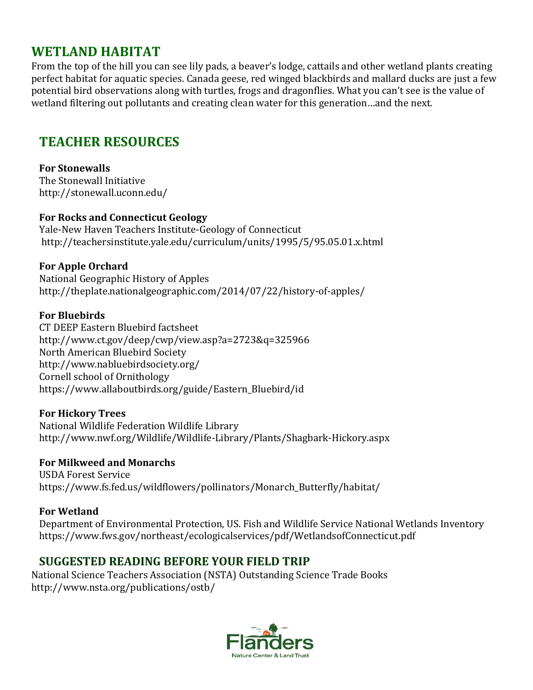### **WETLAND HABITAT**

From the top of the hill you can see lily pads, a beaver's lodge, cattails and other wetland plants creating perfect habitat for aquatic species. Canada geese, red winged blackbirds and mallard ducks are just a few potential bird observations along with turtles, frogs and dragonflies. What you can't see is the value of wetland filtering out pollutants and creating clean water for this generation…and the next.

# **TEACHER RESOURCES**

#### **For Stonewalls**

The Stonewall Initiative http://stonewall.uconn.edu/

#### **For Rocks and Connecticut Geology**

Yale-New Haven Teachers Institute-Geology of Connecticut http://teachersinstitute.yale.edu/curriculum/units/1995/5/95.05.01.x.html

#### **For Apple Orchard**

National Geographic History of Apples http://theplate.nationalgeographic.com/2014/07/22/history-of-apples/

#### **For Bluebirds**

CT DEEP Eastern Bluebird factsheet http://www.ct.gov/deep/cwp/view.asp?a=2723&q=325966 North American Bluebird Society http://www.nabluebirdsociety.org/ Cornell school of Ornithology https://www.allaboutbirds.org/guide/Eastern\_Bluebird/id

#### **For Hickory Trees**

National Wildlife Federation Wildlife Library http://www.nwf.org/Wildlife/Wildlife-Library/Plants/Shagbark-Hickory.aspx

#### **For Milkweed and Monarchs**

USDA Forest Service https://www.fs.fed.us/wildflowers/pollinators/Monarch\_Butterfly/habitat/

#### **For Wetland**

Department of Environmental Protection, US. Fish and Wildlife Service National Wetlands Inventory https://www.fws.gov/northeast/ecologicalservices/pdf/WetlandsofConnecticut.pdf

### **SUGGESTED READING BEFORE YOUR FIELD TRIP**

National Science Teachers Association (NSTA) Outstanding Science Trade Books http://www.nsta.org/publications/ostb/